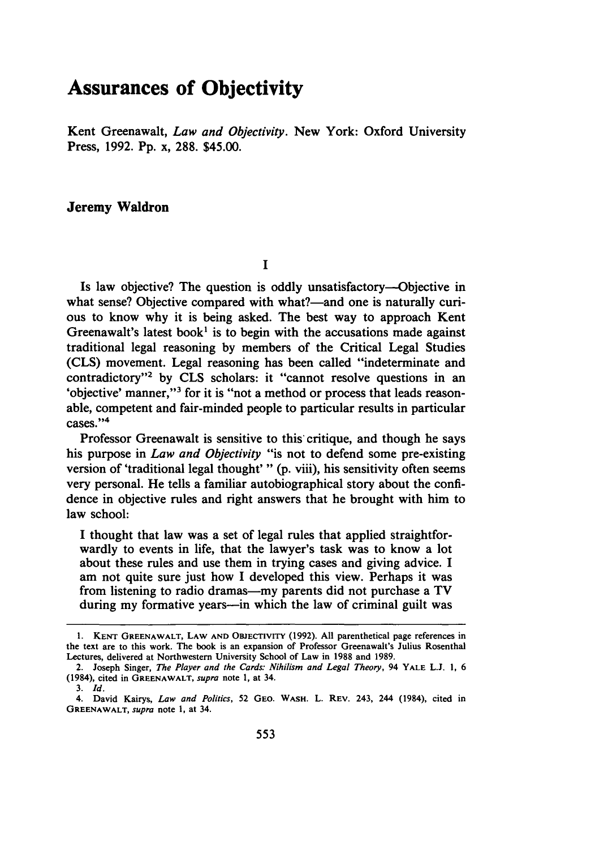# **Assurances of Objectivity**

Kent Greenawalt, *Law and Objectivity.* New York: Oxford University Press, **1992. Pp.** x, **288.** \$45.00.

## Jeremy **Waldron**

 $\mathbf{I}$ 

Is law objective? The question is oddly unsatisfactory-Objective in what sense? Objective compared with what?—and one is naturally curious to know why it is being asked. The best way to approach Kent Greenawalt's latest book<sup>1</sup> is to begin with the accusations made against traditional legal reasoning **by** members of the Critical Legal Studies **(CLS)** movement. Legal reasoning has been called "indeterminate and contradictory"<sup>2</sup> by CLS scholars: it "cannot resolve questions in an 'objective' manner,"3 for it is "not a method or process that leads reasonable, competent and fair-minded people to particular results in particular cases."<sup>4</sup>

Professor Greenawalt is sensitive to this' critique, and though he says his purpose in *Law and Objectivity* "is not to defend some pre-existing version of 'traditional legal thought' " **(p.** viii), his sensitivity often seems very personal. He tells a familiar autobiographical story about the confidence in objective rules and right answers that he brought with him to law school:

**I** thought that law was a set of legal rules that applied straightforwardly to events in life, that the lawyer's task was to know a lot about these rules and use them in trying cases and giving advice. **I** am not quite sure just how I developed this view. Perhaps it was from listening to radio dramas—my parents did not purchase a TV during my formative years--in which the law of criminal guilt was

**<sup>1.</sup> KENT** GREENAWALT, LAW **AND** OBJECTIVITY **(1992). All** parenthetical page references in the text are to this work. The book is an expansion of Professor Greenawalt's Julius Rosenthal Lectures, delivered at Northwestern University School of Law in 1988 and 1989.

<sup>2.</sup> Joseph Singer, *The Player and the Cards: Nihilism and Legal Theory,* 94 YALE **L.J. 1,** 6 (1984), cited in GREENAWALT, *supra* note 1, at 34.

*<sup>3.</sup> Id.*

<sup>4.</sup> David Kairys, *Law and Politics,* 52 **GEO. WASH.** L. REV. 243, 244 (1984), cited in **GREENAWALT,** *supra* note **1,** at 34.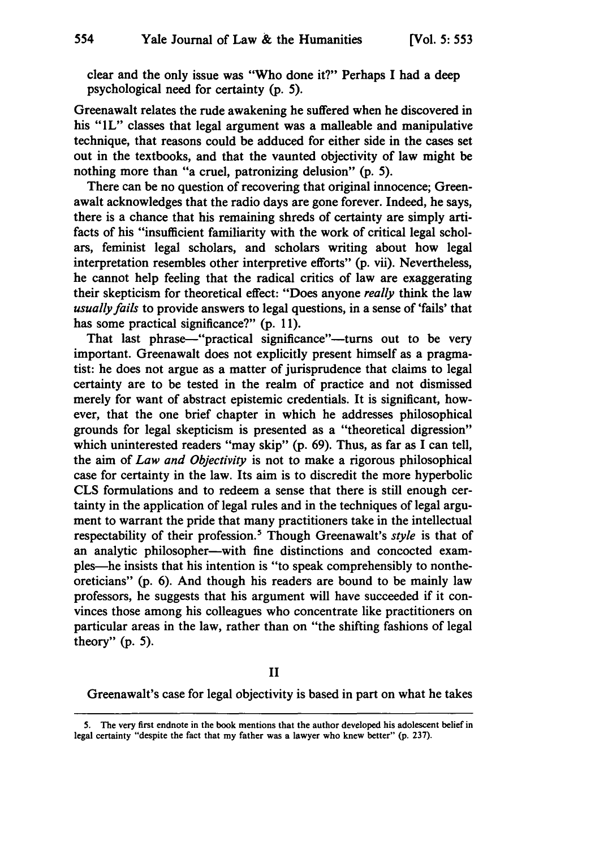clear and the only issue was "Who done it?" Perhaps **I** had a deep psychological need for certainty **(p. 5).**

Greenawalt relates the rude awakening he suffered when he discovered in his "IL" classes that legal argument was a malleable and manipulative technique, that reasons could be adduced for either side in the cases set out in the textbooks, and that the vaunted objectivity of law might be nothing more than "a cruel, patronizing delusion" **(p. 5).**

There can be no question of recovering that original innocence; Greenawalt acknowledges that the radio days are gone forever. Indeed, he says, there is a chance that his remaining shreds of certainty are simply artifacts of his "insufficient familiarity with the work of critical legal scholars, feminist legal scholars, and scholars writing about how legal interpretation resembles other interpretive efforts" (p. vii). Nevertheless, he cannot help feeling that the radical critics of law are exaggerating their skepticism for theoretical effect: "Does anyone *really* think the law *usually fails* to provide answers to legal questions, in a sense of 'fails' that has some practical significance?" (p. 11).

That last phrase-"practical significance"-turns out to be very important. Greenawalt does not explicitly present himself as a pragmatist: he does not argue as a matter of jurisprudence that claims to legal certainty are to be tested in the realm of practice and not dismissed merely for want of abstract epistemic credentials. It is significant, however, that the one brief chapter in which he addresses philosophical grounds for legal skepticism is presented as a "theoretical digression" which uninterested readers "may skip" (p. 69). Thus, as far as I can tell, the aim of *Law and Objectivity* is not to make a rigorous philosophical case for certainty in the law. Its aim is to discredit the more hyperbolic CLS formulations and to redeem a sense that there is still enough certainty in the application of legal rules and in the techniques of legal argument to warrant the pride that many practitioners take in the intellectual respectability of their profession.' Though Greenawalt's *style* is that of an analytic philosopher-with fine distinctions and concocted examples-he insists that his intention is "to speak comprehensibly to nontheoreticians" (p. 6). And though his readers are bound to be mainly law professors, he suggests that his argument will have succeeded if it convinces those among his colleagues who concentrate like practitioners on particular areas in the law, rather than on "the shifting fashions of legal theory"  $(p. 5)$ .

#### II

Greenawalt's case for legal objectivity is based in part on what he takes

<sup>5.</sup> The very first endnote in the book mentions that the author developed his adolescent belief in legal certainty "despite the fact that my father was a lawyer who knew better" (p. 237).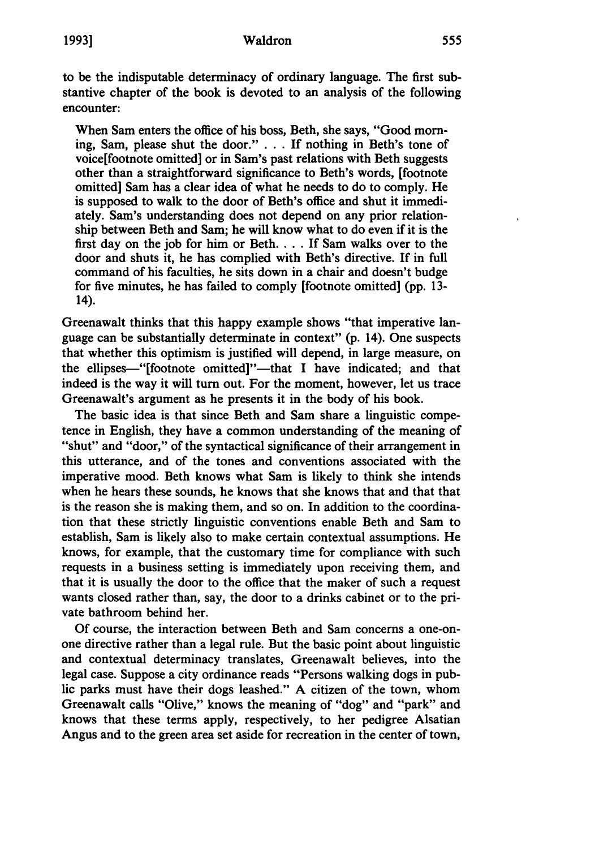#### Waldron

to be the indisputable determinacy of ordinary language. The first substantive chapter of the book is devoted to an analysis of the following encounter:

When Sam enters the office of his boss, Beth, she says, "Good morning, Sam, please shut the door." **. . . If** nothing in Beth's tone of voice[footnote omitted] or in Sam's past relations with Beth suggests other than a straightforward significance to Beth's words, [footnote omitted] Sam has a clear idea of what he needs to do to comply. He is supposed to walk to the door of Beth's office and shut it immediately. Sam's understanding does not depend on any prior relationship between Beth and Sam; he will know what to do even if it is the first day on the **job** for him or Beth **.... If** Sam walks over to the door and shuts it, he has complied with Beth's directive. If in full command of his faculties, he sits down in a chair and doesn't budge for five minutes, he has failed to comply [footnote omitted] **(pp. 13-** 14).

Greenawalt thinks that this happy example shows "that imperative language can be substantially determinate in context" (p. 14). One suspects that whether this optimism is justified will depend, in large measure, on the ellipses-"[footnote omitted]"-that I have indicated; and that indeed is the way it will turn out. For the moment, however, let us trace Greenawalt's argument as he presents it in the body of his book.

The basic idea is that since Beth and Sam share a linguistic competence in English, they have a common understanding of the meaning of "shut" and "door," of the syntactical significance of their arrangement in this utterance, and of the tones and conventions associated with the imperative mood. Beth knows what Sam is likely to think she intends when he hears these sounds, he knows that she knows that and that that is the reason she is making them, and so on. In addition to the coordination that these strictly linguistic conventions enable Beth and Sam to establish, Sam is likely also to make certain contextual assumptions. He knows, for example, that the customary time for compliance with such requests in a business setting is immediately upon receiving them, and that it is usually the door to the office that the maker of such a request wants closed rather than, say, the door to a drinks cabinet or to the private bathroom behind her.

**Of** course, the interaction between Beth and Sam concerns a one-onone directive rather than a legal rule. But the basic point about linguistic and contextual determinacy translates, Greenawalt believes, into the legal case. Suppose a city ordinance reads "Persons walking dogs in public parks must have their dogs leashed." **A** citizen of the town, whom Greenawalt calls "Olive," knows the meaning of "dog" and "park" and knows that these terms apply, respectively, to her pedigree Alsatian Angus and to the green area set aside for recreation in the center of town,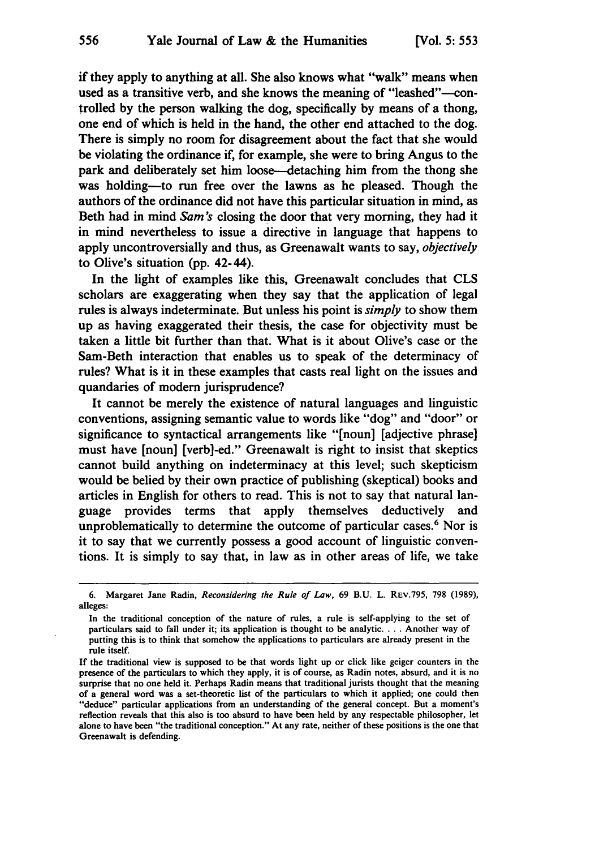556

if they apply to anything at all. She also knows what "walk" means when used as a transitive verb, and she knows the meaning of "leashed"—controlled **by** the person walking the dog, specifically **by** means of a thong, one end of which is held in the hand, the other end attached to the dog. There is simply no room for disagreement about the fact that she would be violating the ordinance if, for example, she were to bring Angus to the park and deliberately set him loose-detaching him from the thong she was holding-to run free over the lawns as he pleased. Though the authors of the ordinance did not have this particular situation in mind, as Beth had in mind *Sam's* closing the door that very morning, they had it in mind nevertheless to issue a directive in language that happens to apply uncontroversially and thus, as Greenawalt wants to say, *objectively* to Olive's situation **(pp.** 42-44).

In the light of examples like this, Greenawalt concludes that **CLS** scholars are exaggerating when they say that the application of legal rules is always indeterminate. But unless his point is *simply* to show them up as having exaggerated their thesis, the case for objectivity must be taken a little bit further than that. What is it about Olive's case or the Sam-Beth interaction that enables us to speak of the determinacy of rules? What is it in these examples that casts real light on the issues and quandaries of modem jurisprudence?

It cannot be merely the existence of natural languages and linguistic conventions, assigning semantic value to words like "dog" and "door" or significance to syntactical arrangements like "[noun] [adjective phrase] must have [noun] [verb]-ed." Greenawalt is right to insist that skeptics cannot build anything on indeterminacy at this level; such skepticism would be belied **by** their own practice of publishing (skeptical) books and articles in English for others to read. This is not to say that natural language provides terms that apply themselves deductively and unproblematically to determine the outcome of particular cases.<sup>6</sup> Nor is it to say that we currently possess a good account of linguistic conventions. It is simply to say that, in law as in other areas of life, we take

<sup>6.</sup> Margaret Jane Radin, *Reconsidering the Rule of Law,* 69 B.U. L. REV.795, 798 (1989), alleges:

In the traditional conception of the nature of rules, a rule is self-applying to the set of particulars said to fall under it; its application is thought to be analytic **....** Another way of putting this is to think that somehow the applications to particulars are already present in the rule itself.

If the traditional view is supposed to be that words light up or click like geiger counters in the presence of the particulars to which they apply, it is of course, as Radin notes, absurd, and it is no surprise that no one held it. Perhaps Radin means that traditional jurists thought that the meaning of a general word was a set-theoretic list of the particulars to which it applied; one could then "deduce" particular applications from an understanding of the general concept. But a moment's reflection reveals that this also is too absurd to have been held **by** any respectable philosopher, let alone to have been "the traditional conception." At any rate, neither of these positions is the one that Greenawalt is defending.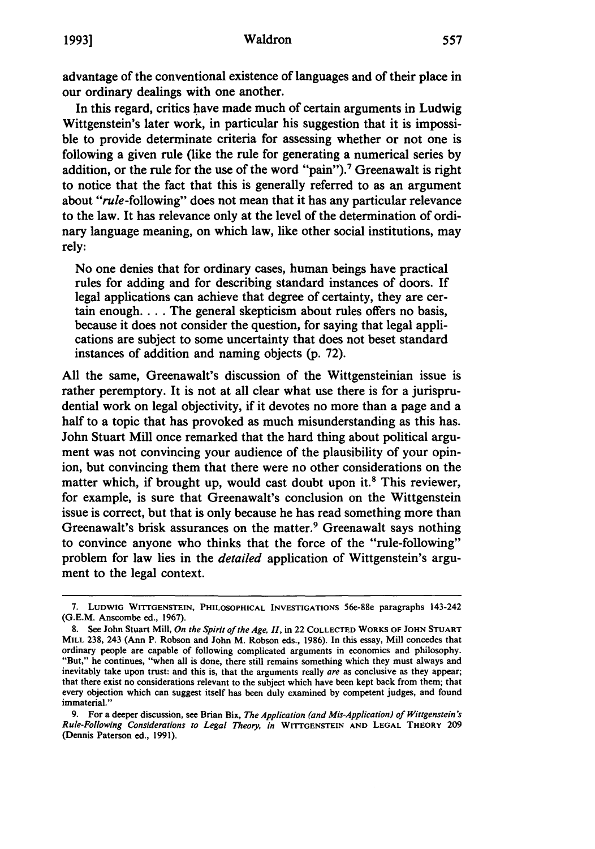advantage of the conventional existence of languages and of their place in our ordinary dealings with one another.

In this regard, critics have made much of certain arguments in Ludwig Wittgenstein's later work, in particular his suggestion that it is impossible to provide determinate criteria for assessing whether or not one is following a given rule (like the rule for generating a numerical series **by** addition, or the rule for the use of the word "pain").<sup>7</sup> Greenawalt is right to notice that the fact that this is generally referred to as an argument about "rule-following" does not mean that it has any particular relevance to the law. It has relevance only at the level of the determination of ordinary language meaning, on which law, like other social institutions, may rely:

No one denies that for ordinary cases, human beings have practical rules for adding and for describing standard instances of doors. If legal applications can achieve that degree of certainty, they are certain enough. . . . The general skepticism about rules offers no basis, because it does not consider the question, for saying that legal applications are subject to some uncertainty that does not beset standard instances of addition and naming objects (p. 72).

All the same, Greenawalt's discussion of the Wittgensteinian issue is rather peremptory. It is not at all clear what use there is for a jurisprudential work on legal objectivity, if it devotes no more than a page and a half to a topic that has provoked as much misunderstanding as this has. John Stuart Mill once remarked that the hard thing about political argument was not convincing your audience of the plausibility of your opinion, but convincing them that there were no other considerations on the matter which, if brought up, would cast doubt upon it.<sup>8</sup> This reviewer, for example, is sure that Greenawalt's conclusion on the Wittgenstein issue is correct, but that is only because he has read something more than Greenawalt's brisk assurances on the matter.<sup>9</sup> Greenawalt says nothing to convince anyone who thinks that the force of the "rule-following" problem for law lies in the *detailed* application of Wittgenstein's argument to the legal context.

**<sup>7.</sup> LUDWIG WITTGENSTEIN, PHILOSOPHICAL INVESTIGATIONS** 56e-88e paragraphs 143-242 (G.E.M. Anscombe ed., 1967).

<sup>8.</sup> See John Stuart Mill, *On the Spirit of the Age, II,* in 22 **COLLECTED** WORKS **OF JOHN STUART MILL** 238, 243 (Ann P. Robson and John M. Robson eds., 1986). In this essay, Mill concedes that ordinary people are capable of following complicated arguments in economics and philosophy. "But," he continues, "when all is done, there still remains something which they must always and inevitably take upon trust: and this is, that the arguments really *are* as conclusive as they appear; that there exist no considerations relevant to the subject which have been kept back from them; that every objection which can suggest itself has been duly examined by competent judges, and found immaterial."

<sup>9.</sup> For a deeper discussion, see Brian Bix, *The Application (and Mis-Application) of Wittgenstein's Rule-Following Considerations to Legal Theory, in* **WiTrGENSTEIN AND LEGAL THEORY 209** (Dennis Paterson ed., **1991).**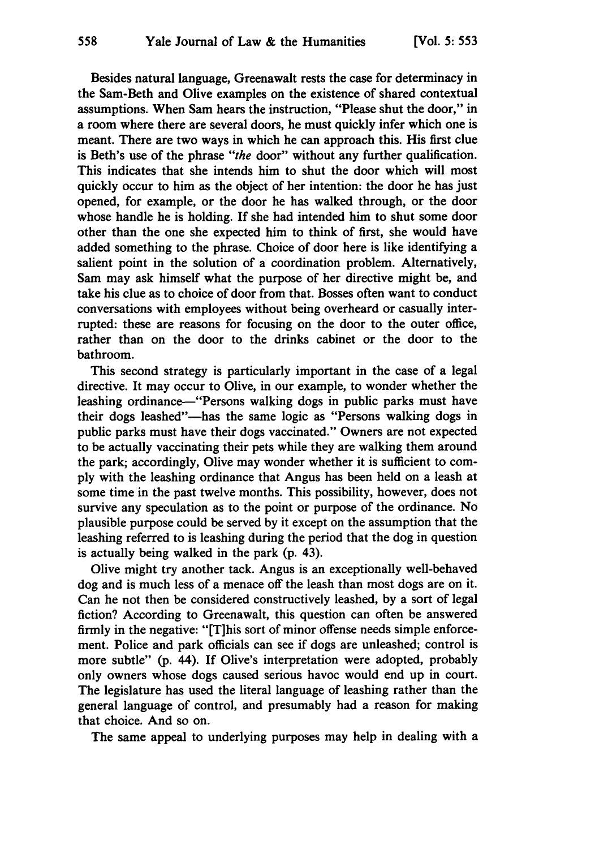Besides natural language, Greenawalt rests the case for determinacy in the Sam-Beth and Olive examples on the existence of shared contextual assumptions. When Sam hears the instruction, "Please shut the door," in a room where there are several doors, he must quickly infer which one is meant. There are two ways in which he can approach this. His first clue is Beth's use of the phrase *"the* door" without any further qualification. This indicates that she intends him to shut the door which will most quickly occur to him as the object of her intention: the door he has just opened, for example, or the door he has walked through, or the door whose handle he is holding. If she had intended him to shut some door other than the one she expected him to think of first, she would have added something to the phrase. Choice of door here is like identifying a salient point in the solution of a coordination problem. Alternatively, Sam may ask himself what the purpose of her directive might be, and take his clue as to choice of door from that. Bosses often want to conduct conversations with employees without being overheard or casually interrupted: these are reasons for focusing on the door to the outer office, rather than on the door to the drinks cabinet or the door to the bathroom.

This second strategy is particularly important in the case of a legal directive. It may occur to Olive, in our example, to wonder whether the leashing ordinance—"Persons walking dogs in public parks must have their dogs leashed"-has the same logic as "Persons walking dogs in public parks must have their dogs vaccinated." Owners are not expected to be actually vaccinating their pets while they are walking them around the park; accordingly, Olive may wonder whether it is sufficient to com**ply** with the leashing ordinance that Angus has been held on a leash at some time in the past twelve months. This possibility, however, does not survive any speculation as to the point or purpose of the ordinance. No plausible purpose could be served **by** it except on the assumption that the leashing referred to is leashing during the period that the dog in question is actually being walked in the park **(p.** 43).

Olive might try another tack. Angus is an exceptionally well-behaved dog and is much less of a menace off the leash than most dogs are on it. Can he not then be considered constructively leashed, **by** a sort of legal fiction? According to Greenawalt, this question can often be answered firmly in the negative: "[T]his sort of minor offense needs simple enforcement. Police and park officials can see if dogs are unleashed; control is more subtle" (p. 44). If Olive's interpretation were adopted, probably only owners whose dogs caused serious havoc would end up in court. The legislature has used the literal language of leashing rather than the general language of control, and presumably had a reason for making that choice. And so on.

The same appeal to underlying purposes may help in dealing with a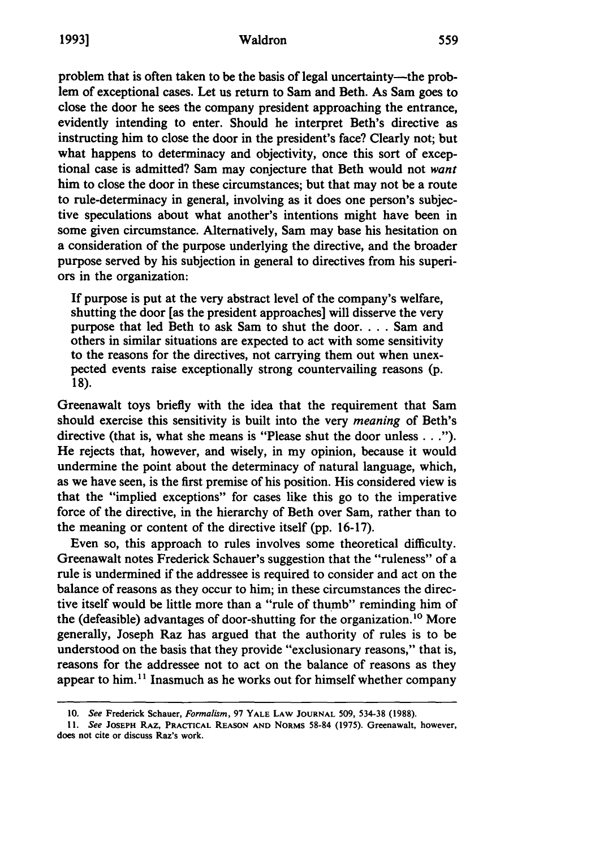problem that is often taken to be the basis of legal uncertainty—the problem of exceptional cases. Let us return to Sam and Beth. As Sam goes to close the door he sees the company president approaching the entrance, evidently intending to enter. Should he interpret Beth's directive as instructing him to close the door in the president's face? Clearly not; but what happens to determinacy and objectivity, once this sort of exceptional case is admitted? Sam may conjecture that Beth would not *want* him to close the door in these circumstances; but that may not be a route to rule-determinacy in general, involving as it does one person's subjective speculations about what another's intentions might have been in some given circumstance. Alternatively, Sam may base his hesitation on a consideration of the purpose underlying the directive, and the broader purpose served **by** his subjection in general to directives from his superiors in the organization:

**If** purpose is put at the very abstract level of the company's welfare, shutting the door [as the president approaches] will disserve the very purpose that led Beth to ask Sam to shut the door.... Sam and others in similar situations are expected to act with some sensitivity to the reasons for the directives, not carrying them out when unexpected events raise exceptionally strong countervailing reasons **(p.** 18).

Greenawalt toys briefly with the idea that the requirement that Sam should exercise this sensitivity is built into the very *meaning* of Beth's directive (that is, what she means is "Please shut the door unless **... ").** He rejects that, however, and wisely, in my opinion, because it would undermine the point about the determinacy of natural language, which, as we have seen, is the first premise of his position. His considered view is that the "implied exceptions" for cases like this go to the imperative force of the directive, in the hierarchy of Beth over Sam, rather than to the meaning or content of the directive itself **(pp. 16-17).**

Even so, this approach to rules involves some theoretical difficulty. Greenawalt notes Frederick Schauer's suggestion that the "ruleness" of a rule is undermined if the addressee is required to consider and act on the balance of reasons as they occur to him; in these circumstances the directive itself would be little more than a "rule of thumb" reminding him of the (defeasible) advantages of door-shutting for the organization.<sup>10</sup> More generally, Joseph Raz has argued that the authority of rules is to be understood on the basis that they provide "exclusionary reasons," that is, reasons for the addressee not to act on the balance of reasons as they appear to him.<sup>11</sup> Inasmuch as he works out for himself whether company

**<sup>10.</sup>** *See* Frederick Schauer, *Formalism,* **97 YALE LAW JOURNAL 509, 534-38 (1988).**

**<sup>11.</sup>** *See* **JOSEPH RAZ, PRACTICAL REASON AND NORMS 58-84 (1975).** Greenawalt, however, **does not cite or discuss Raz's work.**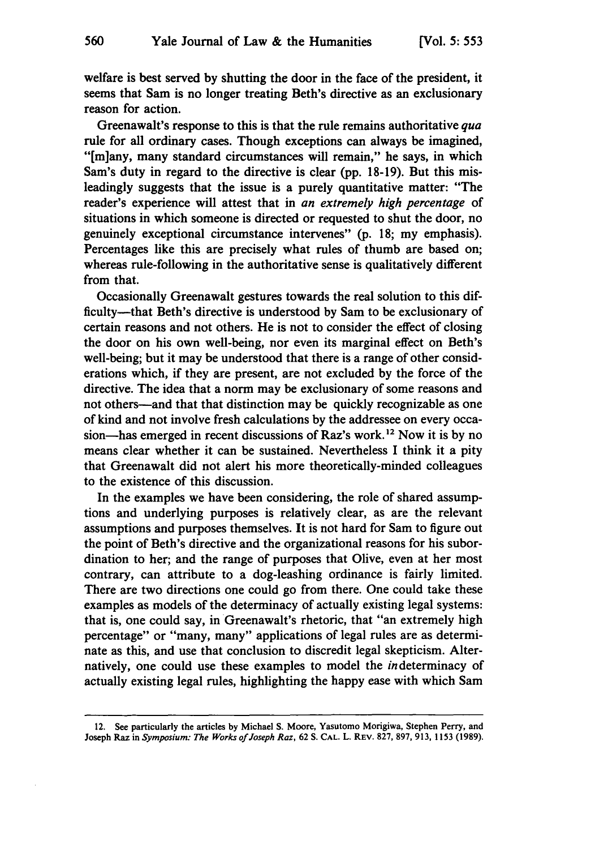welfare is best served **by** shutting the door in the face of the president, it seems that Sam is no longer treating Beth's directive as an exclusionary reason for action.

Greenawalt's response to this is that the rule remains authoritative *qua* rule for all ordinary cases. Though exceptions can always be imagined, "[m]any, many standard circumstances will remain," he says, in which Sam's duty in regard to the directive is clear **(pp. 18-19).** But this misleadingly suggests that the issue is a purely quantitative matter: "The reader's experience will attest that in *an extremely high percentage* of situations in which someone is directed or requested to shut the door, no genuinely exceptional circumstance intervenes" (p. **18;** my emphasis). Percentages like this are precisely what rules of thumb are based on; whereas rule-following in the authoritative sense is qualitatively different from that.

Occasionally Greenawalt gestures towards the real solution to this difficulty-that Beth's directive is understood **by** Sam to be exclusionary of certain reasons and not others. He is not to consider the effect of closing the door on his own well-being, nor even its marginal effect on Beth's well-being; but it may be understood that there is a range of other considerations which, if they are present, are not excluded **by** the force of the directive. The idea that a norm may be exclusionary of some reasons and not others-and that that distinction may be quickly recognizable as one of kind and not involve fresh calculations **by** the addressee on every occasion-has emerged in recent discussions of Raz's work.<sup>12</sup> Now it is by no means clear whether it can be sustained. Nevertheless I think it a pity that Greenawalt did not alert his more theoretically-minded colleagues to the existence of this discussion.

In the examples we have been considering, the role of shared assumptions and underlying purposes is relatively clear, as are the relevant assumptions and purposes themselves. It is not hard for Sam to figure out the point of Beth's directive and the organizational reasons for his subordination to her; and the range of purposes that Olive, even at her most contrary, can attribute to a dog-leashing ordinance is fairly limited. There are two directions one could go from there. One could take these examples as models of the determinacy of actually existing legal systems: that is, one could say, in Greenawalt's rhetoric, that "an extremely high percentage" or "many, many" applications of legal rules are as determinate as this, and use that conclusion to discredit legal skepticism. Alternatively, one could use these examples to model the indeterminacy of actually existing legal rules, highlighting the happy ease with which Sam

<sup>12.</sup> See particularly the articles **by** Michael **S.** Moore, Yasutomo Morigiwa, Stephen Perry, and Joseph Raz in *Symposium: The Works of Joseph Raz,* 62 **S. CAL.** L. REV. 827, 897, 913, 1153 (1989).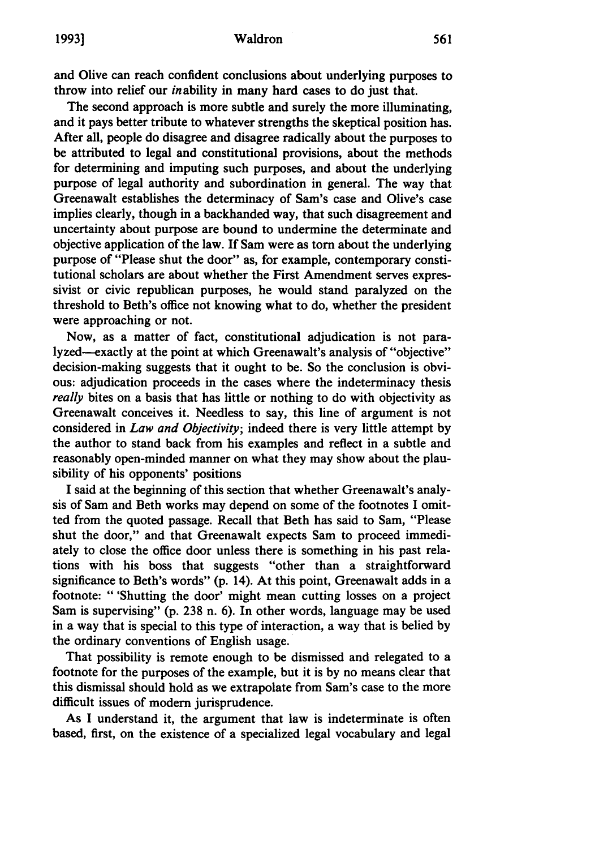and Olive can reach confident conclusions about underlying purposes to throw into relief our inability in many hard cases to do just that.

The second approach is more subtle and surely the more illuminating, and it pays better tribute to whatever strengths the skeptical position has. After all, people do disagree and disagree radically about the purposes to be attributed to legal and constitutional provisions, about the methods for determining and imputing such purposes, and about the underlying purpose of legal authority and subordination in general. The way that Greenawalt establishes the determinacy of Sam's case and Olive's case implies clearly, though in a backhanded way, that such disagreement and uncertainty about purpose are bound to undermine the determinate and objective application of the law. If Sam were as **torn** about the underlying purpose of "Please shut the door" as, for example, contemporary constitutional scholars are about whether the First Amendment serves expressivist or civic republican purposes, he would stand paralyzed on the threshold to Beth's office not knowing what to do, whether the president were approaching or not.

Now, as a matter of fact, constitutional adjudication is not paralyzed---exactly at the point at which Greenawalt's analysis of "objective" decision-making suggests that it ought to be. So the conclusion is obvious: adjudication proceeds in the cases where the indeterminacy thesis *really* bites on a basis that has little or nothing to do with objectivity as Greenawalt conceives it. Needless to say, this line of argument is not considered in *Law and Objectivity;* indeed there is very little attempt **by** the author to stand back from his examples and reflect in a subtle and reasonably open-minded manner on what they may show about the plausibility of his opponents' positions

**I** said at the beginning of this section that whether Greenawalt's analysis of Sam and Beth works may depend on some of the footnotes I omitted from the quoted passage. Recall that Beth has said to Sam, "Please shut the door," and that Greenawalt expects Sam to proceed immediately to close the office door unless there is something in his past relations with his boss that suggests "other than a straightforward significance to Beth's words" **(p.** 14). At this point, Greenawalt adds in a footnote: " 'Shutting the door' might mean cutting losses on a project Sam is supervising" **(p. 238** n. **6).** In other words, language may be used in a way that is special to this type of interaction, a way that is belied **by** the ordinary conventions of English usage.

That possibility is remote enough to be dismissed and relegated to a footnote for the purposes of the example, but it is **by** no means clear that this dismissal should hold as we extrapolate from Sam's case to the more difficult issues of modem jurisprudence.

As I understand it, the argument that law is indeterminate is often based, first, on the existence of a specialized legal vocabulary and legal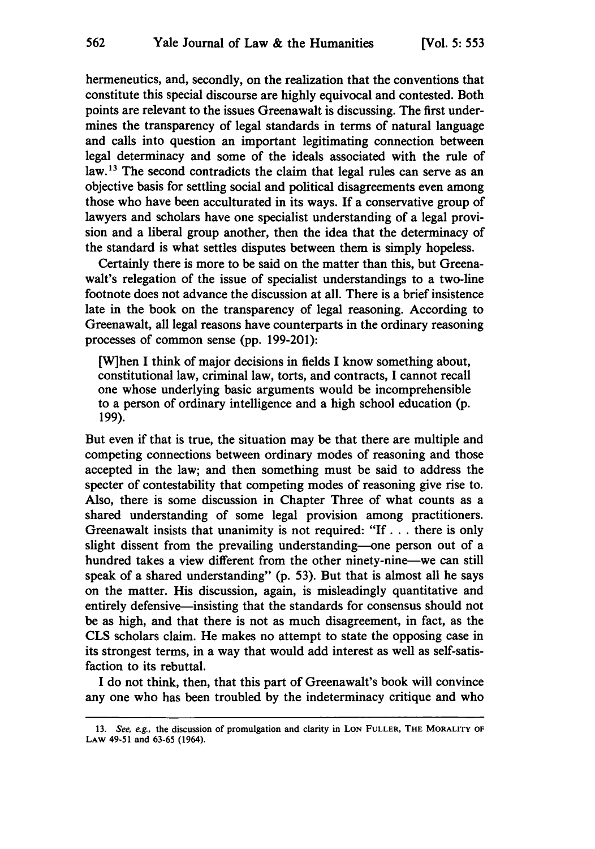hermeneutics, and, secondly, on the realization that the conventions that constitute this special discourse are **highly** equivocal and contested. Both points are relevant to the issues Greenawalt is discussing. The first undermines the transparency of legal standards in terms of natural language and calls into question an important legitimating connection between legal determinacy and some of the ideals associated with the rule of law.<sup>13</sup> The second contradicts the claim that legal rules can serve as an objective basis for settling social and political disagreements even among those who have been acculturated in its ways. **If** a conservative group of lawyers and scholars have one specialist understanding of a legal provision and a liberal group another, then the idea that the determinacy of the standard is what settles disputes between them is simply hopeless.

Certainly there is more to be said on the matter than this, but Greenawalt's relegation of the issue of specialist understandings to a two-line footnote does not advance the discussion at all. There is a brief insistence late in the book on the transparency of legal reasoning. According to Greenawalt, all legal reasons have counterparts in the ordinary reasoning processes of common sense **(pp. 199-201):**

[W]hen I think of major decisions in fields I know something about, constitutional law, criminal law, torts, and contracts, **I** cannot recall one whose underlying basic arguments would be incomprehensible to a person of ordinary intelligence and a high school education **(p. 199).**

But even if that is true, the situation may be that there are multiple and competing connections between ordinary modes of reasoning and those accepted in the law; and then something must be said to address the specter of contestability that competing modes of reasoning give rise to. Also, there is some discussion in Chapter Three of what counts as a shared understanding of some legal provision among practitioners. Greenawalt insists that unanimity is not required: **"If** *...* there is only slight dissent from the prevailing understanding-one person out of a hundred takes a view different from the other ninety-nine—we can still speak of a shared understanding" **(p. 53).** But that is almost all he says on the matter. His discussion, again, is misleadingly quantitative and entirely defensive—insisting that the standards for consensus should not be as high, and that there is not as much disagreement, in fact, as the **CLS** scholars claim. He makes no attempt to state the opposing case in its strongest terms, in a way that would add interest as well as self-satisfaction to its rebuttal.

I do not think, then, that this part of Greenawalt's book will convince any one who has been troubled **by** the indeterminacy critique and who

**<sup>13.</sup>** See, e.g., the discussion of promulgation and clarity in **LON FULLER, THE MORALITY OF LAW** 49-51 and **63-65** (1964).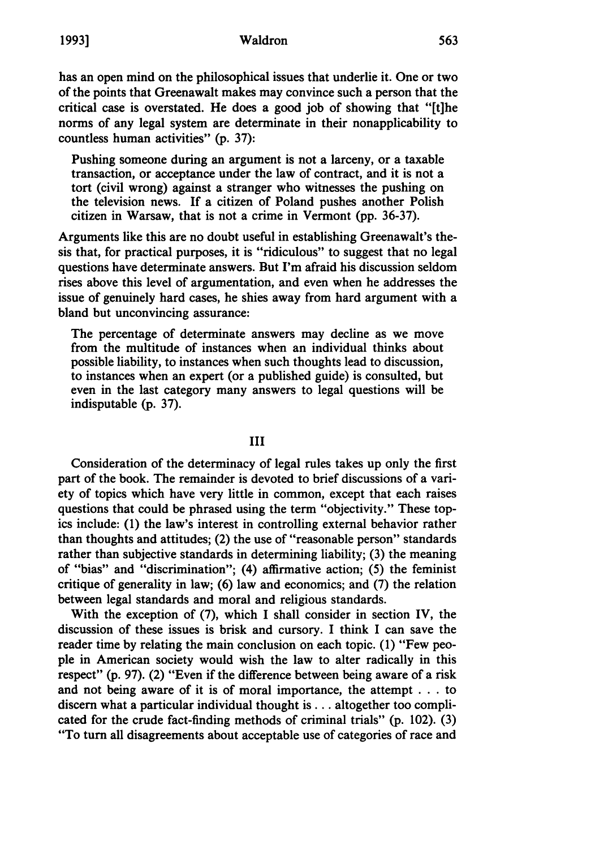has an open mind on the philosophical issues that underlie it. One or two of the points that Greenawalt makes may convince such a person that the critical case is overstated. He does a good **job** of showing that "[t]he norms of any legal system are determinate in their nonapplicability to countless human activities" **(p. 37):**

Pushing someone during an argument is not a larceny, or a taxable transaction, or acceptance under the law of contract, and it is not a tort (civil wrong) against a stranger who witnesses the pushing on the television news. **If** a citizen of Poland pushes another Polish citizen in Warsaw, that is not a crime in Vermont **(pp. 36-37).**

Arguments like this are no doubt useful in establishing Greenawalt's thesis that, for practical purposes, it is "ridiculous" to suggest that no legal questions have determinate answers. But I'm afraid his discussion seldom rises above this level of argumentation, and even when he addresses the issue of genuinely hard cases, he shies away from hard argument with a bland but unconvincing assurance:

The percentage of determinate answers may decline as we move from the multitude of instances when an individual thinks about possible liability, to instances when such thoughts lead to discussion, to instances when an expert (or a published guide) is consulted, but even in the last category many answers to legal questions will be indisputable (p. **37).**

#### **III**

Consideration of the determinacy of legal rules takes up only the first part of the book. The remainder is devoted to brief discussions of a variety of topics which have very little in common, except that each raises questions that could be phrased using the term "objectivity." These topics include: **(1)** the law's interest in controlling external behavior rather than thoughts and attitudes; (2) the use of "reasonable person" standards rather than subjective standards in determining liability; **(3)** the meaning of "bias" and "discrimination"; (4) affirmative action; **(5)** the feminist critique of generality in law; **(6)** law and economics; and **(7)** the relation between legal standards and moral and religious standards.

With the exception of **(7),** which I shall consider in section IV, the discussion of these issues is brisk and cursory. I think I can save the reader time **by** relating the main conclusion on each topic. **(1)** "Few people in American society would wish the law to alter radically in this respect" **(p. 97).** (2) "Even if the difference between being aware of a risk and not being aware of it is of moral importance, the attempt **...**to discern what a particular individual thought **is...** altogether too complicated for the crude fact-finding methods of criminal trials" **(p.** 102). **(3)** "To turn all disagreements about acceptable use of categories of race and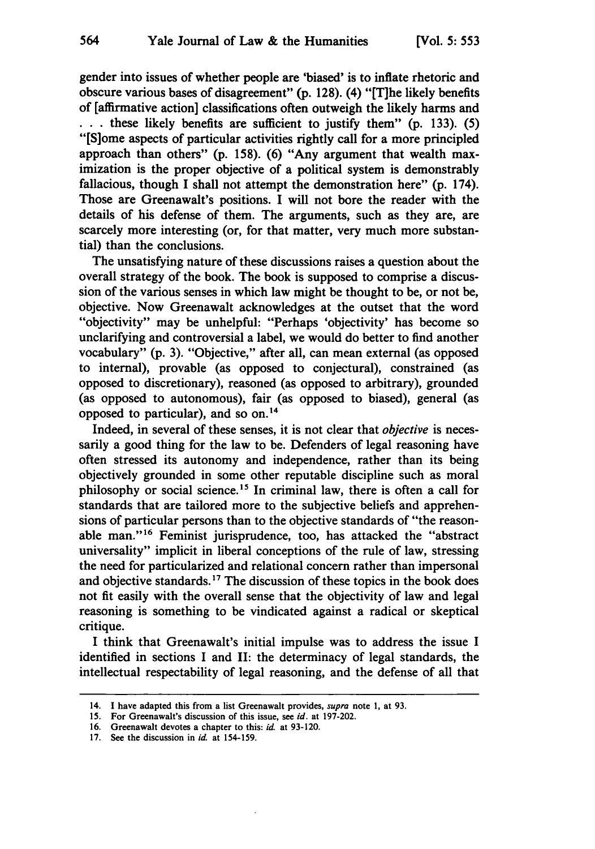gender into issues of whether people are 'biased' is to inflate rhetoric and obscure various bases of disagreement" **(p. 128).** (4) "[T]he likely benefits of [affirmative action] classifications often outweigh the likely harms and **.. .** these likely benefits are sufficient to justify them" **(p. 133). (5)** "[S]ome aspects of particular activities rightly call for a more principled approach than others" **(p. 158). (6)** "Any argument that wealth maximization is the proper objective of a political system is demonstrably fallacious, though I shall not attempt the demonstration here" **(p.** 174). Those are Greenawalt's positions. I will not bore the reader with the details of his defense of them. The arguments, such as they are, are scarcely more interesting (or, for that matter, very much more substantial) than the conclusions.

The unsatisfying nature of these discussions raises a question about the overall strategy of the book. The book is supposed to comprise a discussion of the various senses in which law might be thought to be, or not be, objective. Now Greenawalt acknowledges at the outset that the word "objectivity" may be unhelpful: "Perhaps 'objectivity' has become so unclarifying and controversial a label, we would do better to find another vocabulary" **(p.** 3). "Objective," after all, can mean external (as opposed to internal), provable (as opposed to conjectural), constrained (as opposed to discretionary), reasoned (as opposed to arbitrary), grounded (as opposed to autonomous), fair (as opposed to biased), general (as opposed to particular), and so on. <sup>4</sup>

Indeed, in several of these senses, it is not clear that *objective* is necessarily a good thing for the law to be. Defenders of legal reasoning have often stressed its autonomy and independence, rather than its being objectively grounded in some other reputable discipline such as moral philosophy or social science.<sup>15</sup> In criminal law, there is often a call for standards that are tailored more to the subjective beliefs and apprehensions of particular persons than to the objective standards of "the reasonable man."<sup>16</sup> Feminist jurisprudence, too, has attacked the "abstract universality" implicit in liberal conceptions of the rule of law, stressing the need for particularized and relational concern rather than impersonal and objective standards.<sup>17</sup> The discussion of these topics in the book does not fit easily with the overall sense that the objectivity of law and legal reasoning is something to be vindicated against a radical or skeptical critique.

I think that Greenawalt's initial impulse was to address the issue I identified in sections I and II: the determinacy of legal standards, the intellectual respectability of legal reasoning, and the defense of all that

<sup>14.</sup> **I** have adapted this from a list Greenawalt provides, *supra* note **1,** at 93.

<sup>15.</sup> For Greenawalt's discussion of this issue, see *id.* at 197-202.

<sup>16.</sup> Greenawalt devotes a chapter to this: *id.* at 93-120.

<sup>17.</sup> See the discussion in *id.* at 154-159.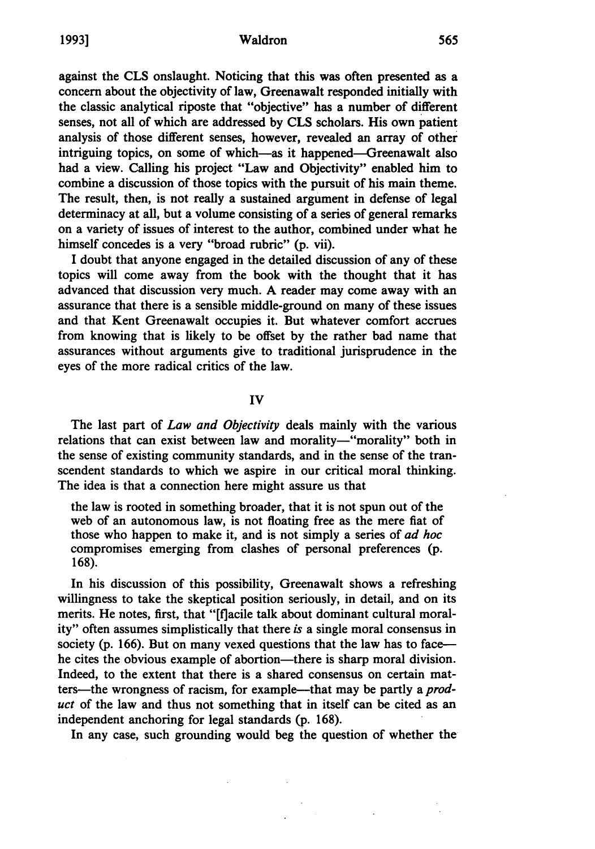#### Waldron

against the **CLS** onslaught. Noticing that this was often presented as a concern about the objectivity of law, Greenawalt responded initially with the classic analytical riposte that "objective" has a number of different senses, not all of which are addressed **by CLS** scholars. His own patient analysis of those different senses, however, revealed an array of other intriguing topics, on some of which-as it happened-Greenawalt also had a view. Calling his project "Law and Objectivity" enabled him to combine a discussion of those topics with the pursuit of his main theme. The result, then, is not really a sustained argument in defense of legal determinacy at all, but a volume consisting of a series of general remarks on a variety of issues of interest to the author, combined under what he himself concedes is a very "broad rubric" (p. vii).

I doubt that anyone engaged in the detailed discussion of any of these topics will come away from the book with the thought that it has advanced that discussion very much. A reader may come away with an assurance that there is a sensible middle-ground on many of these issues and that Kent Greenawalt occupies it. But whatever comfort accrues from knowing that is likely to be offset by the rather bad name that assurances without arguments give to traditional jurisprudence in the eyes of the more radical critics of the law.

### IV

The last part of *Law and Objectivity* deals mainly with the various relations that can exist between law and morality-"morality" both in the sense of existing community standards, and in the sense of the transcendent standards to which we aspire in our critical moral thinking. The idea is that a connection here might assure us that

the law is rooted in something broader, that it is not spun out of the web of an autonomous law, is not floating free as the mere fiat of those who happen to make it, and is not simply a series of *ad hoc* compromises emerging from clashes of personal preferences (p. 168).

In his discussion of this possibility, Greenawalt shows a refreshing willingness to take the skeptical position seriously, in detail, and on its merits. He notes, first, that "[flacile talk about dominant cultural morality" often assumes simplistically that there *is* a single moral consensus in society (p. 166). But on many vexed questions that the law has to facehe cites the obvious example of abortion—there is sharp moral division. Indeed, to the extent that there is a shared consensus on certain matters—the wrongness of racism, for example—that may be partly a *product* of the law and thus not something that in itself can be cited as an independent anchoring for legal standards (p. 168).

In any case, such grounding would beg the question of whether the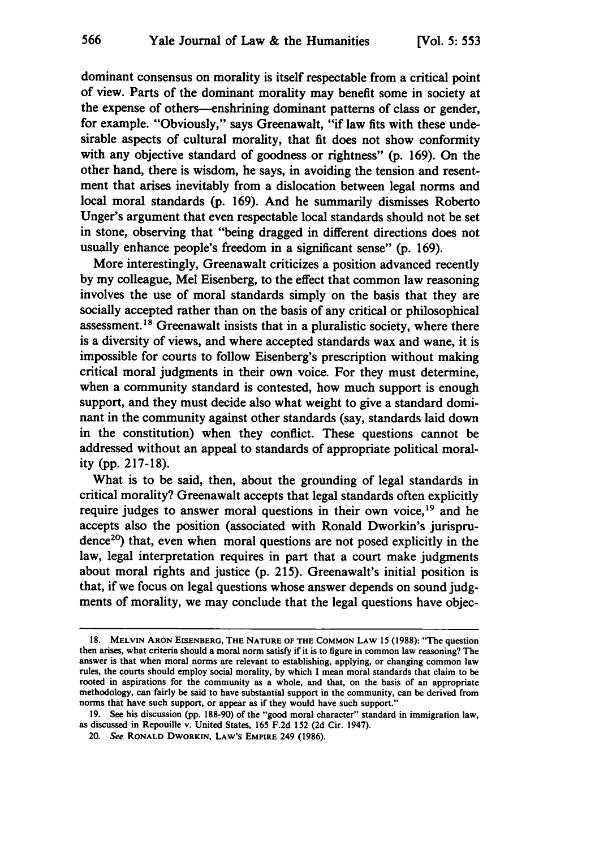566

dominant consensus on morality is itself respectable from a critical point of view. Parts of the dominant morality may benefit some in society at the expense of others-enshrining dominant patterns of class or gender, for example. "Obviously," says Greenawalt, "if law fits with these undesirable aspects of cultural morality, that fit does not show conformity with any objective standard of goodness or rightness" (p. 169). On the other hand, there is wisdom, he says, in avoiding the tension and resentment that arises inevitably from a dislocation between legal norms and local moral standards (p. 169). And he summarily dismisses Roberto Unger's argument that even respectable local standards should not be set in stone, observing that "being dragged in different directions does not usually enhance people's freedom in a significant sense" (p. 169).

More interestingly, Greenawalt criticizes a position advanced recently by my colleague, Mel Eisenberg, to the effect that common law reasoning involves the use of moral standards simply on the basis that they are socially accepted rather than on the basis of any critical or philosophical assessment.<sup>18</sup> Greenawalt insists that in a pluralistic society, where there is a diversity of views, and where accepted standards wax and wane, it is impossible for courts to follow Eisenberg's prescription without making critical moral judgments in their own voice. For they must determine, when a community standard is contested, how much support is enough support, and they must decide also what weight to give a standard dominant in the community against other standards (say, standards laid down in the constitution) when they conflict. These questions cannot be addressed without an appeal to standards of appropriate political morality (pp. 217-18).

What is to be said, then, about the grounding of legal standards in critical morality? Greenawalt accepts that legal standards often explicitly require judges to answer moral questions in their own voice,<sup>19</sup> and he accepts also the position (associated with Ronald Dworkin's jurisprudence<sup>20</sup>) that, even when moral questions are not posed explicitly in the law, legal interpretation requires in part that a court make judgments about moral rights and justice (p. 215). Greenawalt's initial position is that, if we focus on legal questions whose answer depends on sound judgments of morality, we may conclude that the legal questions have objec-

**<sup>18.</sup> MELVIN ARON EISENBERG, THE NATURE OF THE COMMON LAW 15 (1988):** "The question then arises, what criteria should a moral norm satisfy if it is to figure in common law reasoning? The answer is that when moral norms are relevant to establishing, applying, or changing common law rules, the courts should employ social morality, **by** which I mean moral standards that claim to be rooted in aspirations for the community as a whole, and that, on the basis of an appropriate methodology, can fairly be said to have substantial support in the community, can be derived from norms that have such support, or appear as if they would have such support."

**<sup>19.</sup>** See his discussion **(pp. 188-90)** of the "good moral character" standard in immigration law, as discussed in Repouille v. United States, **165 F.2d 152 (2d** Cir. 1947).

<sup>20.</sup> See **RONALD DWORKIN, LAW's EMPIRE** 249 **(1986).**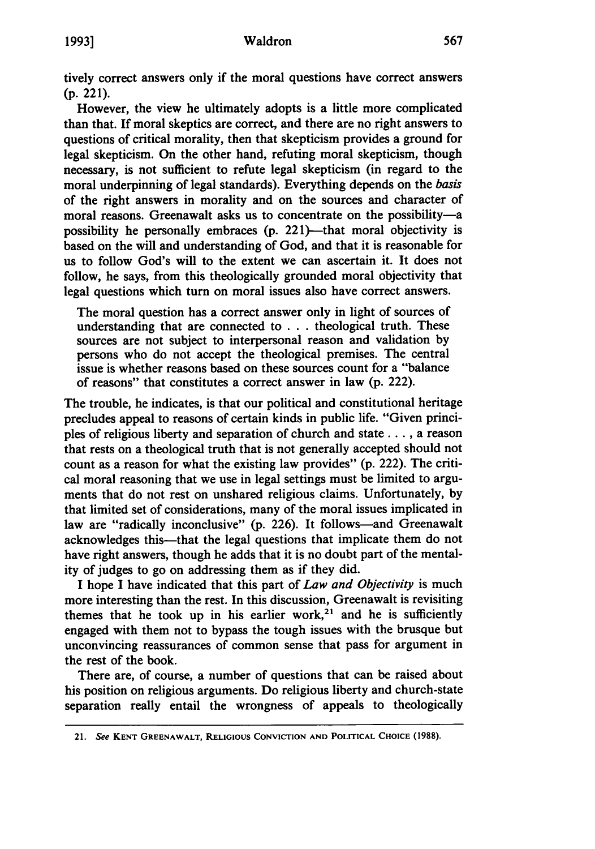#### Waldron

tively correct answers only if the moral questions have correct answers **(p.** 221).

However, the view he ultimately adopts is a little more complicated than that. If moral skeptics are correct, and there are no right answers to questions of critical morality, then that skepticism provides a ground for legal skepticism. On the other hand, refuting moral skepticism, though necessary, is not sufficient to refute legal skepticism (in regard to the moral underpinning of legal standards). Everything depends on the *basis* of the right answers in morality and on the sources and character of moral reasons. Greenawalt asks us to concentrate on the possibility-a possibility he personally embraces (p. 221)—that moral objectivity is based on the will and understanding of God, and that it is reasonable for us to follow God's will to the extent we can ascertain it. It does not follow, he says, from this theologically grounded moral objectivity that legal questions which turn on moral issues also have correct answers.

The moral question has a correct answer only in light of sources of understanding that are connected to . . . theological truth. These sources are not subject to interpersonal reason and validation by persons who do not accept the theological premises. The central issue is whether reasons based on these sources count for a "balance of reasons" that constitutes a correct answer in law (p. 222).

The trouble, he indicates, is that our political and constitutional heritage precludes appeal to reasons of certain kinds in public life. "Given principles of religious liberty and separation of church and state **....** a reason that rests on a theological truth that is not generally accepted should not count as a reason for what the existing law provides" (p. 222). The critical moral reasoning that we use in legal settings must be limited to arguments that do not rest on unshared religious claims. Unfortunately, by that limited set of considerations, many of the moral issues implicated in law are "radically inconclusive" (p. 226). It follows—and Greenawalt acknowledges this—that the legal questions that implicate them do not have right answers, though he adds that it is no doubt part of the mentality of judges to go on addressing them as if they did.

I hope I have indicated that this part of *Law and Objectivity* is much more interesting than the rest. In this discussion, Greenawalt is revisiting themes that he took up in his earlier work,<sup>21</sup> and he is sufficiently engaged with them not to bypass the tough issues with the brusque but unconvincing reassurances of common sense that pass for argument in the rest of the book.

There are, of course, a number of questions that can be raised about his position on religious arguments. Do religious liberty and church-state separation really entail the wrongness of appeals to theologically

<sup>21.</sup> **See KENT GREENAWALT, RELIGIOUS CONVICTION AND POLITICAL CHOICE (1988).**